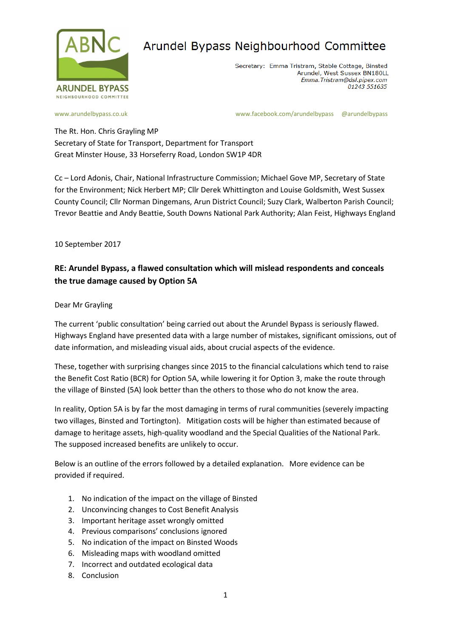

Secretary: Emma Tristram, Stable Cottage, Binsted Arundel, West Sussex BN180LL Emma. Tristram@dsl.pipex.com 01243 551635

[www.arundelbypass.co.uk](http://www.arundelbypass.co.uk/) example: [www.facebook.com/arundelbypass](http://www.facebook.com/arundelbypass) @arundelbypass

The Rt. Hon. Chris Grayling MP Secretary of State for Transport, Department for Transport Great Minster House, 33 Horseferry Road, London SW1P 4DR

Cc – Lord Adonis, Chair, National Infrastructure Commission; Michael Gove MP, Secretary of State for the Environment; Nick Herbert MP; Cllr Derek Whittington and Louise Goldsmith, West Sussex County Council; Cllr Norman Dingemans, Arun District Council; Suzy Clark, Walberton Parish Council; Trevor Beattie and Andy Beattie, South Downs National Park Authority; Alan Feist, Highways England

10 September 2017

### **RE: Arundel Bypass, a flawed consultation which will mislead respondents and conceals the true damage caused by Option 5A**

Dear Mr Grayling

The current 'public consultation' being carried out about the Arundel Bypass is seriously flawed. Highways England have presented data with a large number of mistakes, significant omissions, out of date information, and misleading visual aids, about crucial aspects of the evidence.

These, together with surprising changes since 2015 to the financial calculations which tend to raise the Benefit Cost Ratio (BCR) for Option 5A, while lowering it for Option 3, make the route through the village of Binsted (5A) look better than the others to those who do not know the area.

In reality, Option 5A is by far the most damaging in terms of rural communities (severely impacting two villages, Binsted and Tortington). Mitigation costs will be higher than estimated because of damage to heritage assets, high-quality woodland and the Special Qualities of the National Park. The supposed increased benefits are unlikely to occur.

Below is an outline of the errors followed by a detailed explanation. More evidence can be provided if required.

- 1. No indication of the impact on the village of Binsted
- 2. Unconvincing changes to Cost Benefit Analysis
- 3. Important heritage asset wrongly omitted
- 4. Previous comparisons' conclusions ignored
- 5. No indication of the impact on Binsted Woods
- 6. Misleading maps with woodland omitted
- 7. Incorrect and outdated ecological data
- 8. Conclusion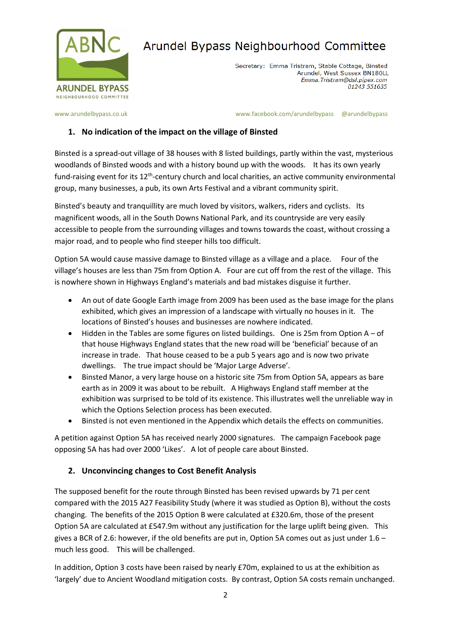

Secretary: Emma Tristram, Stable Cottage, Binsted Arundel, West Sussex BN180LL Emma. Tristram@dsl.pipex.com 01243 551635

[www.arundelbypass.co.uk](http://www.arundelbypass.co.uk/) example: [www.facebook.com/arundelbypass](http://www.facebook.com/arundelbypass) @arundelbypass

#### **1. No indication of the impact on the village of Binsted**

Binsted is a spread-out village of 38 houses with 8 listed buildings, partly within the vast, mysterious woodlands of Binsted woods and with a history bound up with the woods. It has its own yearly fund-raising event for its 12<sup>th</sup>-century church and local charities, an active community environmental group, many businesses, a pub, its own Arts Festival and a vibrant community spirit.

Binsted's beauty and tranquillity are much loved by visitors, walkers, riders and cyclists. Its magnificent woods, all in the South Downs National Park, and its countryside are very easily accessible to people from the surrounding villages and towns towards the coast, without crossing a major road, and to people who find steeper hills too difficult.

Option 5A would cause massive damage to Binsted village as a village and a place. Four of the village's houses are less than 75m from Option A. Four are cut off from the rest of the village. This is nowhere shown in Highways England's materials and bad mistakes disguise it further.

- An out of date Google Earth image from 2009 has been used as the base image for the plans exhibited, which gives an impression of a landscape with virtually no houses in it. The locations of Binsted's houses and businesses are nowhere indicated.
- Hidden in the Tables are some figures on listed buildings. One is 25m from Option A of that house Highways England states that the new road will be 'beneficial' because of an increase in trade. That house ceased to be a pub 5 years ago and is now two private dwellings. The true impact should be 'Major Large Adverse'.
- Binsted Manor, a very large house on a historic site 75m from Option 5A, appears as bare earth as in 2009 it was about to be rebuilt. A Highways England staff member at the exhibition was surprised to be told of its existence. This illustrates well the unreliable way in which the Options Selection process has been executed.
- Binsted is not even mentioned in the Appendix which details the effects on communities.

A petition against Option 5A has received nearly 2000 signatures. The campaign Facebook page opposing 5A has had over 2000 'Likes'. A lot of people care about Binsted.

#### **2. Unconvincing changes to Cost Benefit Analysis**

The supposed benefit for the route through Binsted has been revised upwards by 71 per cent compared with the 2015 A27 Feasibility Study (where it was studied as Option B), without the costs changing. The benefits of the 2015 Option B were calculated at £320.6m, those of the present Option 5A are calculated at £547.9m without any justification for the large uplift being given. This gives a BCR of 2.6: however, if the old benefits are put in, Option 5A comes out as just under  $1.6$ much less good. This will be challenged.

In addition, Option 3 costs have been raised by nearly £70m, explained to us at the exhibition as 'largely' due to Ancient Woodland mitigation costs. By contrast, Option 5A costs remain unchanged.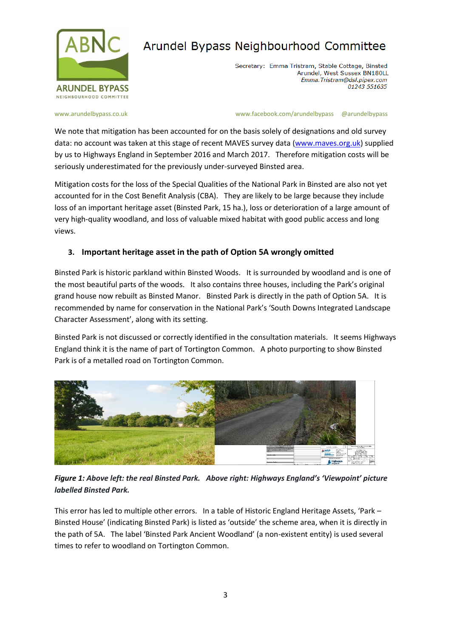

Secretary: Emma Tristram, Stable Cottage, Binsted Arundel, West Sussex BN180LL Emma. Tristram@dsl.pipex.com 01243 551635

[www.arundelbypass.co.uk](http://www.arundelbypass.co.uk/) example: [www.facebook.com/arundelbypass](http://www.facebook.com/arundelbypass) @arundelbypass

We note that mitigation has been accounted for on the basis solely of designations and old survey data: no account was taken at this stage of recent MAVES survey data [\(www.maves.org.uk\)](http://www.maves.org.uk/) supplied by us to Highways England in September 2016 and March 2017. Therefore mitigation costs will be seriously underestimated for the previously under-surveyed Binsted area.

Mitigation costs for the loss of the Special Qualities of the National Park in Binsted are also not yet accounted for in the Cost Benefit Analysis (CBA). They are likely to be large because they include loss of an important heritage asset (Binsted Park, 15 ha.), loss or deterioration of a large amount of very high-quality woodland, and loss of valuable mixed habitat with good public access and long views.

#### **3. Important heritage asset in the path of Option 5A wrongly omitted**

Binsted Park is historic parkland within Binsted Woods. It is surrounded by woodland and is one of the most beautiful parts of the woods. It also contains three houses, including the Park's original grand house now rebuilt as Binsted Manor. Binsted Park is directly in the path of Option 5A. It is recommended by name for conservation in the National Park's 'South Downs Integrated Landscape Character Assessment', along with its setting.

Binsted Park is not discussed or correctly identified in the consultation materials. It seems Highways England think it is the name of part of Tortington Common. A photo purporting to show Binsted Park is of a metalled road on Tortington Common.



*Figure 1: Above left: the real Binsted Park. Above right: Highways England's 'Viewpoint' picture labelled Binsted Park.*

This error has led to multiple other errors. In a table of Historic England Heritage Assets, 'Park – Binsted House' (indicating Binsted Park) is listed as 'outside' the scheme area, when it is directly in the path of 5A. The label 'Binsted Park Ancient Woodland' (a non-existent entity) is used several times to refer to woodland on Tortington Common.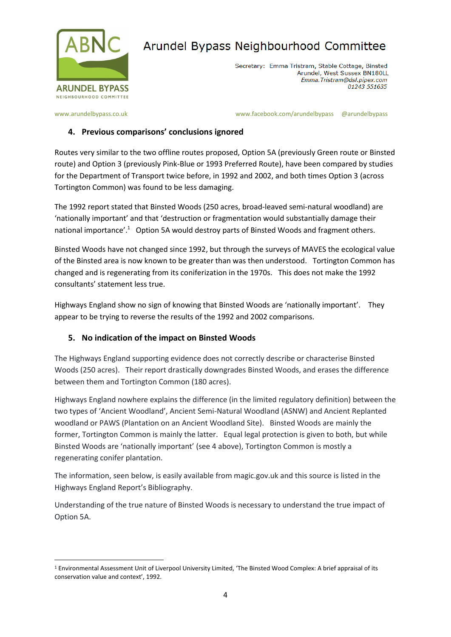

Secretary: Emma Tristram, Stable Cottage, Binsted Arundel, West Sussex BN180LL Emma. Tristram@dsl.pipex.com 01243 551635

[www.arundelbypass.co.uk](http://www.arundelbypass.co.uk/) example: [www.facebook.com/arundelbypass](http://www.facebook.com/arundelbypass) @arundelbypass

#### **4. Previous comparisons' conclusions ignored**

Routes very similar to the two offline routes proposed, Option 5A (previously Green route or Binsted route) and Option 3 (previously Pink-Blue or 1993 Preferred Route), have been compared by studies for the Department of Transport twice before, in 1992 and 2002, and both times Option 3 (across Tortington Common) was found to be less damaging.

The 1992 report stated that Binsted Woods (250 acres, broad-leaved semi-natural woodland) are 'nationally important' and that 'destruction or fragmentation would substantially damage their national importance'.<sup>1</sup> Option 5A would destroy parts of Binsted Woods and fragment others.

Binsted Woods have not changed since 1992, but through the surveys of MAVES the ecological value of the Binsted area is now known to be greater than was then understood. Tortington Common has changed and is regenerating from its coniferization in the 1970s. This does not make the 1992 consultants' statement less true.

Highways England show no sign of knowing that Binsted Woods are 'nationally important'. They appear to be trying to reverse the results of the 1992 and 2002 comparisons.

#### **5. No indication of the impact on Binsted Woods**

The Highways England supporting evidence does not correctly describe or characterise Binsted Woods (250 acres). Their report drastically downgrades Binsted Woods, and erases the difference between them and Tortington Common (180 acres).

Highways England nowhere explains the difference (in the limited regulatory definition) between the two types of 'Ancient Woodland', Ancient Semi-Natural Woodland (ASNW) and Ancient Replanted woodland or PAWS (Plantation on an Ancient Woodland Site). Binsted Woods are mainly the former, Tortington Common is mainly the latter. Equal legal protection is given to both, but while Binsted Woods are 'nationally important' (see 4 above), Tortington Common is mostly a regenerating conifer plantation.

The information, seen below, is easily available from magic.gov.uk and this source is listed in the Highways England Report's Bibliography.

Understanding of the true nature of Binsted Woods is necessary to understand the true impact of Option 5A.

 $\overline{a}$ <sup>1</sup> Environmental Assessment Unit of Liverpool University Limited, 'The Binsted Wood Complex: A brief appraisal of its conservation value and context', 1992.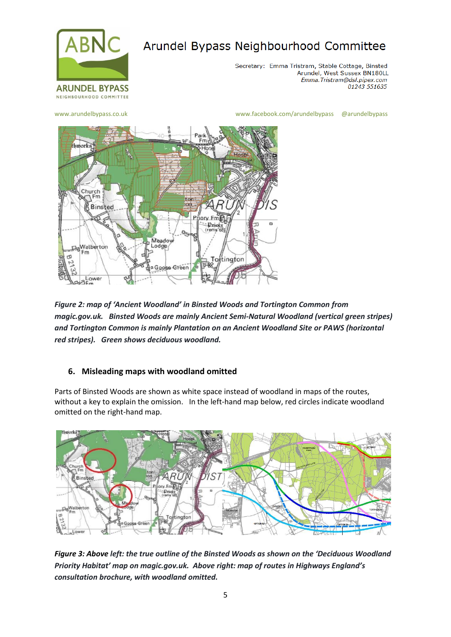

Secretary: Emma Tristram, Stable Cottage, Binsted Arundel, West Sussex BN180LL Emma. Tristram@dsl.pipex.com 01243 551635

[www.arundelbypass.co.uk](http://www.arundelbypass.co.uk/) [www.facebook.com/arundelbypass](http://www.facebook.com/arundelbypass) @arundelbypass



*Figure 2: map of 'Ancient Woodland' in Binsted Woods and Tortington Common from magic.gov.uk. Binsted Woods are mainly Ancient Semi-Natural Woodland (vertical green stripes) and Tortington Common is mainly Plantation on an Ancient Woodland Site or PAWS (horizontal red stripes). Green shows deciduous woodland.*

#### **6. Misleading maps with woodland omitted**

Parts of Binsted Woods are shown as white space instead of woodland in maps of the routes, without a key to explain the omission. In the left-hand map below, red circles indicate woodland omitted on the right-hand map.



*Figure 3: Above left: the true outline of the Binsted Woods as shown on the 'Deciduous Woodland Priority Habitat' map on magic.gov.uk. Above right: map of routes in Highways England's consultation brochure, with woodland omitted.*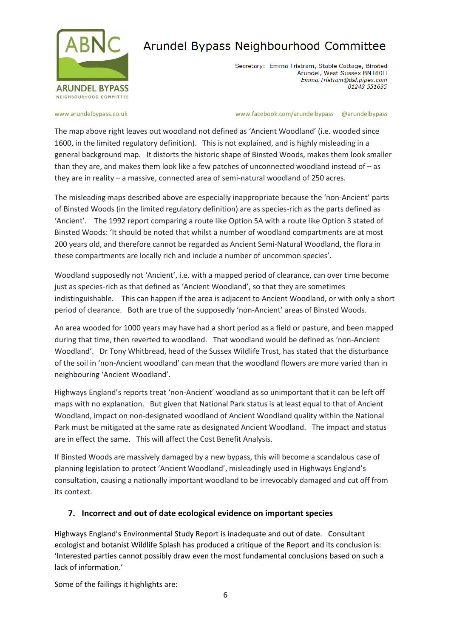

Secretary: Emma Tristram, Stable Cottage, Binsted Arundel, West Sussex BN180LL Emma. Tristram@dsl.pipex.com 01243 551635

[www.arundelbypass.co.uk](http://www.arundelbypass.co.uk/) example: [www.facebook.com/arundelbypass](http://www.facebook.com/arundelbypass) @arundelbypass

The map above right leaves out woodland not defined as 'Ancient Woodland' (i.e. wooded since 1600, in the limited regulatory definition). This is not explained, and is highly misleading in a general background map. It distorts the historic shape of Binsted Woods, makes them look smaller than they are, and makes them look like a few patches of unconnected woodland instead of – as they are in reality – a massive, connected area of semi-natural woodland of 250 acres.

The misleading maps described above are especially inappropriate because the 'non-Ancient' parts of Binsted Woods (in the limited regulatory definition) are as species-rich as the parts defined as 'Ancient'. The 1992 report comparing a route like Option 5A with a route like Option 3 stated of Binsted Woods: 'It should be noted that whilst a number of woodland compartments are at most 200 years old, and therefore cannot be regarded as Ancient Semi-Natural Woodland, the flora in these compartments are locally rich and include a number of uncommon species'.

Woodland supposedly not 'Ancient', i.e. with a mapped period of clearance, can over time become just as species-rich as that defined as 'Ancient Woodland', so that they are sometimes indistinguishable. This can happen if the area is adjacent to Ancient Woodland, or with only a short period of clearance. Both are true of the supposedly 'non-Ancient' areas of Binsted Woods.

An area wooded for 1000 years may have had a short period as a field or pasture, and been mapped during that time, then reverted to woodland. That woodland would be defined as 'non-Ancient Woodland'. Dr Tony Whitbread, head of the Sussex Wildlife Trust, has stated that the disturbance of the soil in 'non-Ancient woodland' can mean that the woodland flowers are more varied than in neighbouring 'Ancient Woodland'.

Highways England's reports treat 'non-Ancient' woodland as so unimportant that it can be left off maps with no explanation. But given that National Park status is at least equal to that of Ancient Woodland, impact on non-designated woodland of Ancient Woodland quality within the National Park must be mitigated at the same rate as designated Ancient Woodland. The impact and status are in effect the same. This will affect the Cost Benefit Analysis.

If Binsted Woods are massively damaged by a new bypass, this will become a scandalous case of planning legislation to protect 'Ancient Woodland', misleadingly used in Highways England's consultation, causing a nationally important woodland to be irrevocably damaged and cut off from its context.

#### **7. Incorrect and out of date ecological evidence on important species**

Highways England's Environmental Study Report is inadequate and out of date. Consultant ecologist and botanist Wildlife Splash has produced a critique of the Report and its conclusion is: 'Interested parties cannot possibly draw even the most fundamental conclusions based on such a lack of information.'

Some of the failings it highlights are: